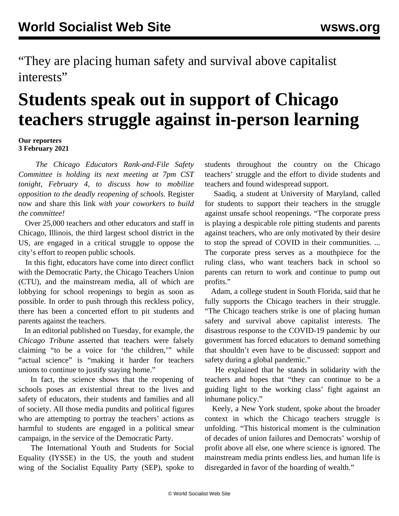"They are placing human safety and survival above capitalist interests"

## **Students speak out in support of Chicago teachers struggle against in-person learning**

## **Our reporters 3 February 2021**

 *The Chicago Educators Rank-and-File Safety Committee is holding its next meeting at 7pm CST tonight, February 4, to discuss how to mobilize opposition to the deadly reopening of schools.* [Register](https://register.gotowebinar.com/register/5694193012142730764) [now and share this link](https://register.gotowebinar.com/register/5694193012142730764) *with your coworkers to build the committee!*

 Over 25,000 teachers and other educators and staff in Chicago, Illinois, the third largest school district in the US, are engaged in a critical struggle to oppose the city's effort to reopen public schools.

 In this fight, educators have come into direct conflict with the Democratic Party, the Chicago Teachers Union (CTU), and the mainstream media, all of which are lobbying for school reopenings to begin as soon as possible. In order to push through this reckless policy, there has been a concerted effort to pit students and parents against the teachers.

 In an [editorial published on Tuesday](https://www.chicagotribune.com/opinion/editorials/ct-editorial-pandemic-cps-reopening-ctu-strike-20210201-tvqvdlur4ja3je6w4rbv7diqjq-story.html), for example, the *Chicago Tribune* asserted that teachers were falsely claiming "to be a voice for 'the children,'" while "actual science" is "making it harder for teachers unions to continue to justify staying home."

 In fact, [the](/en/articles/2021/02/03/pers-f03.html) [science shows](/en/articles/2021/02/03/pers-f03.html) [t](/en/articles/2021/02/03/pers-f03.html)hat the reopening of schools poses an existential threat to the lives and safety of educators, their students and families and all of society. All those media pundits and political figures who are attempting to portray the teachers' actions as harmful to students are engaged in a political smear campaign, in the service of the Democratic Party.

 The International Youth and Students for Social Equality (IYSSE) in the US, the youth and student wing of the Socialist Equality Party (SEP), spoke to students throughout the country on the Chicago teachers' struggle and the effort to divide students and teachers and found widespread support.

 Saadiq, a student at University of Maryland, called for students to support their teachers in the struggle against unsafe school reopenings. "The corporate press is playing a despicable role pitting students and parents against teachers, who are only motivated by their desire to stop the spread of COVID in their communities. ... The corporate press serves as a mouthpiece for the ruling class, who want teachers back in school so parents can return to work and continue to pump out profits."

 Adam, a college student in South Florida, said that he fully supports the Chicago teachers in their struggle. "The Chicago teachers strike is one of placing human safety and survival above capitalist interests. The disastrous response to the COVID-19 pandemic by our government has forced educators to demand something that shouldn't even have to be discussed: support and safety during a global pandemic."

 He explained that he stands in solidarity with the teachers and hopes that "they can continue to be a guiding light to the working class' fight against an inhumane policy."

 Keely, a New York student, spoke about the broader context in which the Chicago teachers struggle is unfolding. "This historical moment is the culmination of decades of union failures and Democrats' worship of profit above all else, one where science is ignored. The mainstream media prints endless lies, and human life is disregarded in favor of the hoarding of wealth."